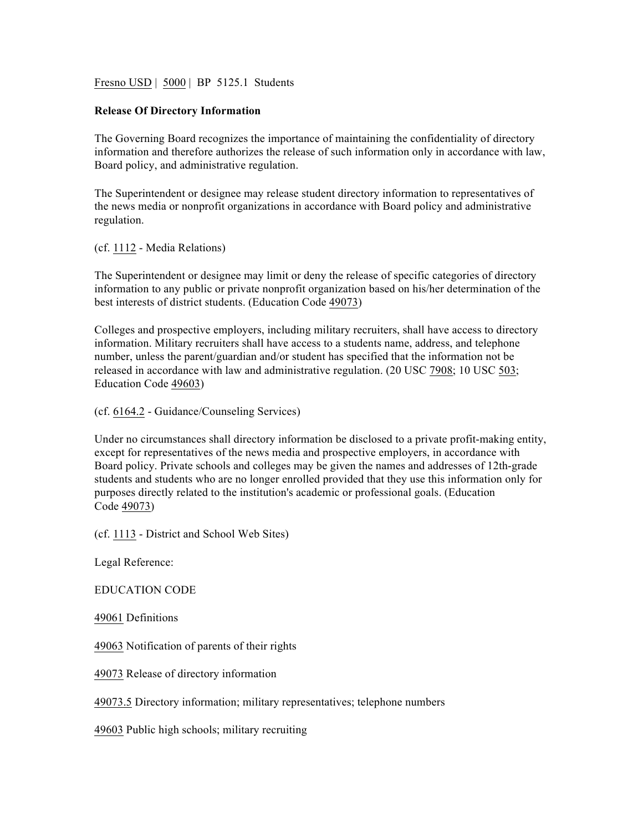Fresno USD | 5000 | BP 5125.1 Students

## **Release Of Directory Information**

The Governing Board recognizes the importance of maintaining the confidentiality of directory information and therefore authorizes the release of such information only in accordance with law, Board policy, and administrative regulation.

The Superintendent or designee may release student directory information to representatives of the news media or nonprofit organizations in accordance with Board policy and administrative regulation.

(cf. 1112 - Media Relations)

The Superintendent or designee may limit or deny the release of specific categories of directory information to any public or private nonprofit organization based on his/her determination of the best interests of district students. (Education Code 49073)

Colleges and prospective employers, including military recruiters, shall have access to directory information. Military recruiters shall have access to a students name, address, and telephone number, unless the parent/guardian and/or student has specified that the information not be released in accordance with law and administrative regulation. (20 USC 7908; 10 USC 503; Education Code 49603)

(cf. 6164.2 - Guidance/Counseling Services)

Under no circumstances shall directory information be disclosed to a private profit-making entity, except for representatives of the news media and prospective employers, in accordance with Board policy. Private schools and colleges may be given the names and addresses of 12th-grade students and students who are no longer enrolled provided that they use this information only for purposes directly related to the institution's academic or professional goals. (Education Code 49073)

(cf. 1113 - District and School Web Sites)

Legal Reference:

EDUCATION CODE

49061 Definitions

49063 Notification of parents of their rights

49073 Release of directory information

49073.5 Directory information; military representatives; telephone numbers

49603 Public high schools; military recruiting